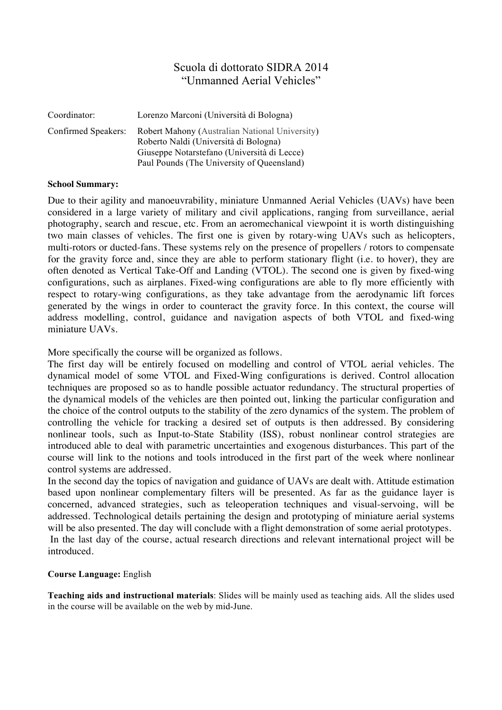## Scuola di dottorato SIDRA 2014 "Unmanned Aerial Vehicles"

| Coordinator:        | Lorenzo Marconi (Università di Bologna)                                                                                                                                              |
|---------------------|--------------------------------------------------------------------------------------------------------------------------------------------------------------------------------------|
| Confirmed Speakers: | Robert Mahony (Australian National University)<br>Roberto Naldi (Università di Bologna)<br>Giuseppe Notarstefano (Università di Lecce)<br>Paul Pounds (The University of Queensland) |

## **School Summary:**

Due to their agility and manoeuvrability, miniature Unmanned Aerial Vehicles (UAVs) have been considered in a large variety of military and civil applications, ranging from surveillance, aerial photography, search and rescue, etc. From an aeromechanical viewpoint it is worth distinguishing two main classes of vehicles. The first one is given by rotary-wing UAVs such as helicopters, multi-rotors or ducted-fans. These systems rely on the presence of propellers / rotors to compensate for the gravity force and, since they are able to perform stationary flight (i.e. to hover), they are often denoted as Vertical Take-Off and Landing (VTOL). The second one is given by fixed-wing configurations, such as airplanes. Fixed-wing configurations are able to fly more efficiently with respect to rotary-wing configurations, as they take advantage from the aerodynamic lift forces generated by the wings in order to counteract the gravity force. In this context, the course will address modelling, control, guidance and navigation aspects of both VTOL and fixed-wing miniature UAVs.

More specifically the course will be organized as follows.

The first day will be entirely focused on modelling and control of VTOL aerial vehicles. The dynamical model of some VTOL and Fixed-Wing configurations is derived. Control allocation techniques are proposed so as to handle possible actuator redundancy. The structural properties of the dynamical models of the vehicles are then pointed out, linking the particular configuration and the choice of the control outputs to the stability of the zero dynamics of the system. The problem of controlling the vehicle for tracking a desired set of outputs is then addressed. By considering nonlinear tools, such as Input-to-State Stability (ISS), robust nonlinear control strategies are introduced able to deal with parametric uncertainties and exogenous disturbances. This part of the course will link to the notions and tools introduced in the first part of the week where nonlinear control systems are addressed.

In the second day the topics of navigation and guidance of UAVs are dealt with. Attitude estimation based upon nonlinear complementary filters will be presented. As far as the guidance layer is concerned, advanced strategies, such as teleoperation techniques and visual-servoing, will be addressed. Technological details pertaining the design and prototyping of miniature aerial systems will be also presented. The day will conclude with a flight demonstration of some aerial prototypes. In the last day of the course, actual research directions and relevant international project will be introduced.

## **Course Language:** English

**Teaching aids and instructional materials**: Slides will be mainly used as teaching aids. All the slides used in the course will be available on the web by mid-June.